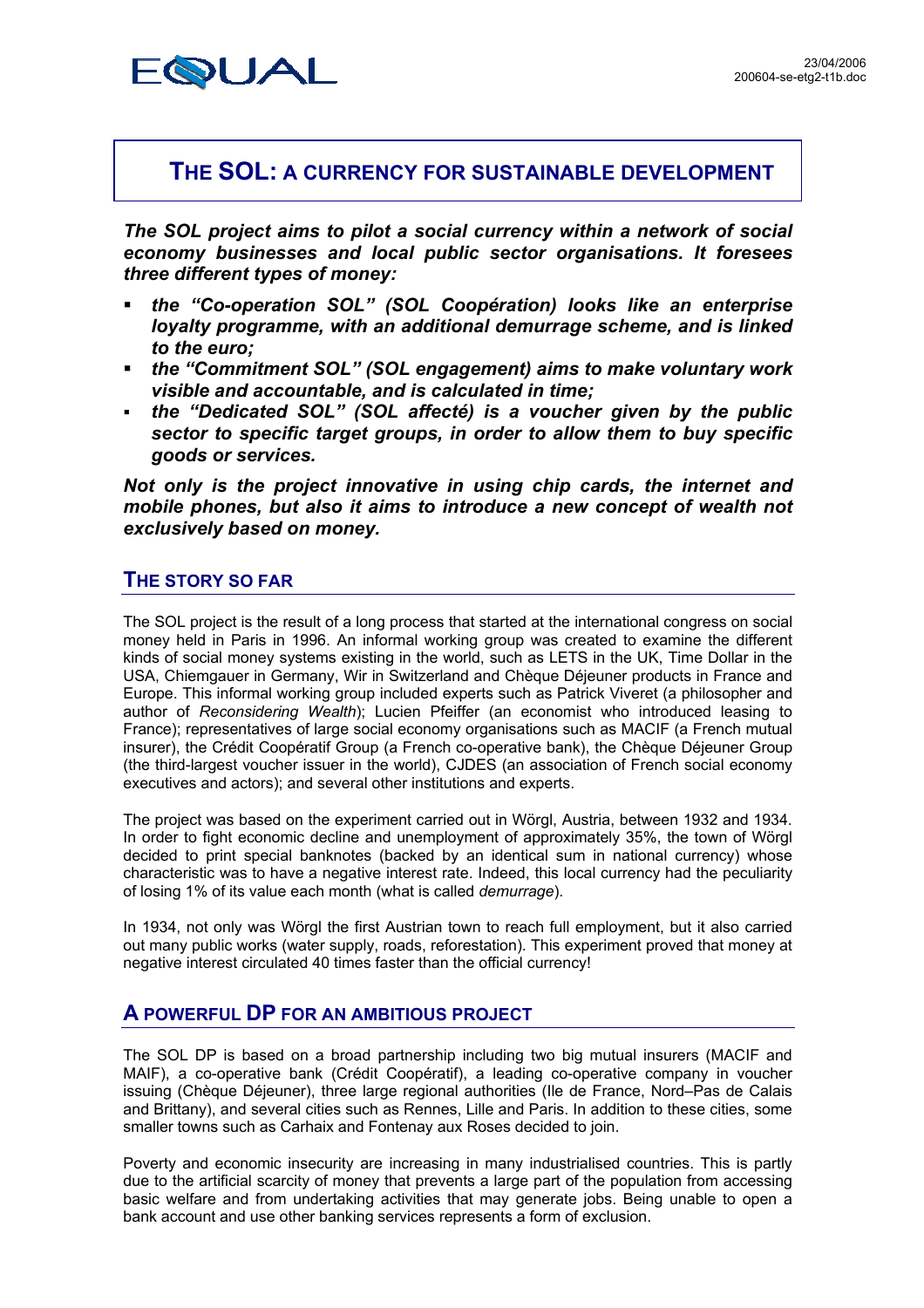

# **THE SOL: A CURRENCY FOR SUSTAINABLE DEVELOPMENT**

*The SOL project aims to pilot a social currency within a network of social economy businesses and local public sector organisations. It foresees three different types of money:* 

- *the "Co-operation SOL" (SOL Coopération) looks like an enterprise loyalty programme, with an additional demurrage scheme, and is linked to the euro;*
- *the "Commitment SOL" (SOL engagement) aims to make voluntary work visible and accountable, and is calculated in time;*
- *the "Dedicated SOL" (SOL affecté) is a voucher given by the public sector to specific target groups, in order to allow them to buy specific goods or services.*

*Not only is the project innovative in using chip cards, the internet and mobile phones, but also it aims to introduce a new concept of wealth not exclusively based on money.* 

## **THE STORY SO FAR**

The SOL project is the result of a long process that started at the international congress on social money held in Paris in 1996. An informal working group was created to examine the different kinds of social money systems existing in the world, such as LETS in the UK, Time Dollar in the USA, Chiemgauer in Germany, Wir in Switzerland and Chèque Déjeuner products in France and Europe. This informal working group included experts such as Patrick Viveret (a philosopher and author of *Reconsidering Wealth*); Lucien Pfeiffer (an economist who introduced leasing to France); representatives of large social economy organisations such as MACIF (a French mutual insurer), the Crédit Coopératif Group (a French co-operative bank), the Chèque Déjeuner Group (the third-largest voucher issuer in the world), CJDES (an association of French social economy executives and actors); and several other institutions and experts.

The project was based on the experiment carried out in Wörgl, Austria, between 1932 and 1934. In order to fight economic decline and unemployment of approximately 35%, the town of Wörgl decided to print special banknotes (backed by an identical sum in national currency) whose characteristic was to have a negative interest rate. Indeed, this local currency had the peculiarity of losing 1% of its value each month (what is called *demurrage*).

In 1934, not only was Wörgl the first Austrian town to reach full employment, but it also carried out many public works (water supply, roads, reforestation). This experiment proved that money at negative interest circulated 40 times faster than the official currency!

# **A POWERFUL DP FOR AN AMBITIOUS PROJECT**

The SOL DP is based on a broad partnership including two big mutual insurers (MACIF and MAIF), a co-operative bank (Crédit Coopératif), a leading co-operative company in voucher issuing (Chèque Déjeuner), three large regional authorities (Ile de France, Nord–Pas de Calais and Brittany), and several cities such as Rennes, Lille and Paris. In addition to these cities, some smaller towns such as Carhaix and Fontenay aux Roses decided to join.

Poverty and economic insecurity are increasing in many industrialised countries. This is partly due to the artificial scarcity of money that prevents a large part of the population from accessing basic welfare and from undertaking activities that may generate jobs. Being unable to open a bank account and use other banking services represents a form of exclusion.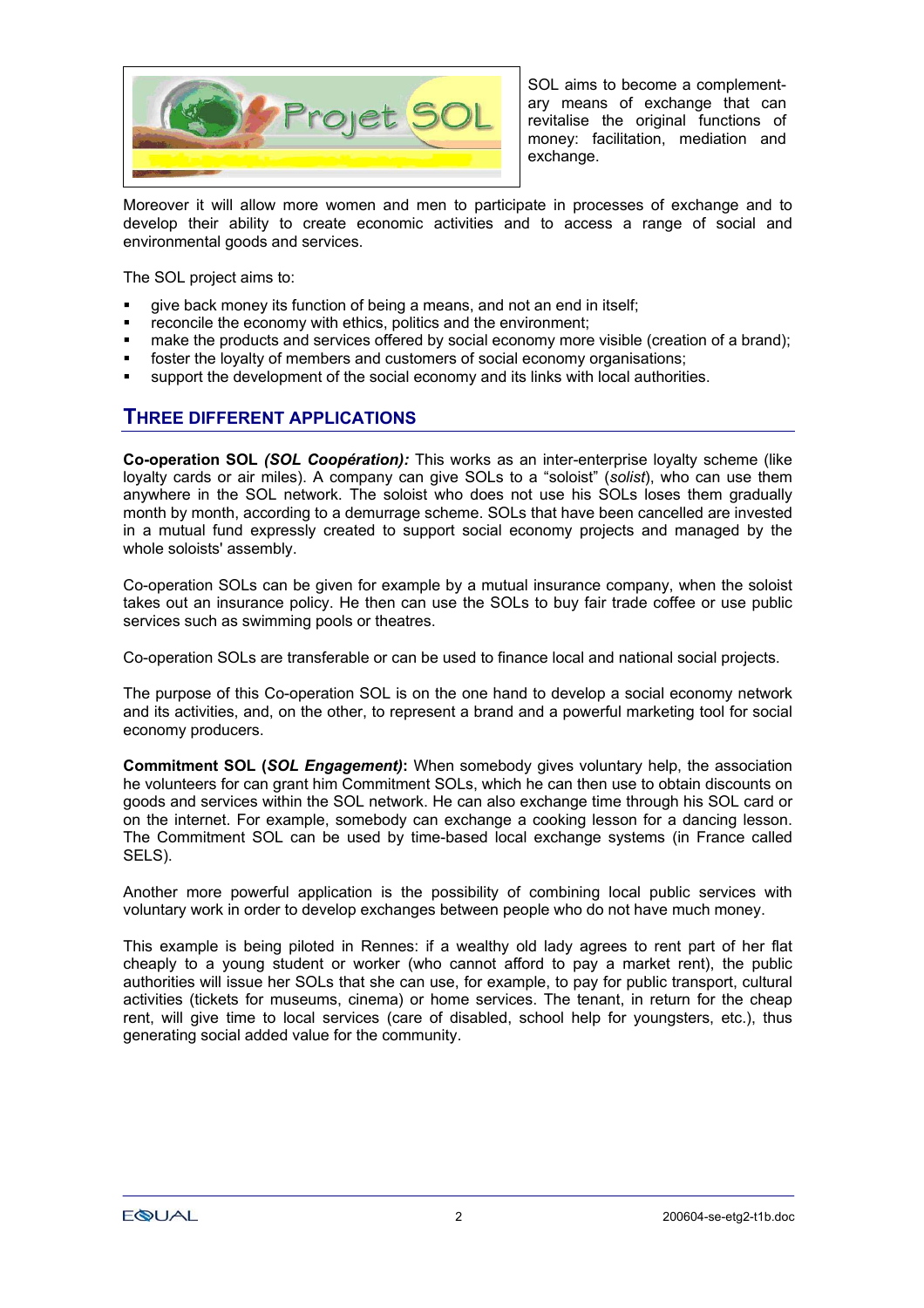

SOL aims to become a complementary means of exchange that can revitalise the original functions of money: facilitation, mediation and exchange.

Moreover it will allow more women and men to participate in processes of exchange and to develop their ability to create economic activities and to access a range of social and environmental goods and services.

The SOL project aims to:

- give back money its function of being a means, and not an end in itself;
- reconcile the economy with ethics, politics and the environment;
- make the products and services offered by social economy more visible (creation of a brand);
- **fict** foster the loyalty of members and customers of social economy organisations;
- support the development of the social economy and its links with local authorities.

#### **THREE DIFFERENT APPLICATIONS**

**Co-operation SOL** *(SOL Coopération):* This works as an inter-enterprise loyalty scheme (like loyalty cards or air miles). A company can give SOLs to a "soloist" (*solist*), who can use them anywhere in the SOL network. The soloist who does not use his SOLs loses them gradually month by month, according to a demurrage scheme. SOLs that have been cancelled are invested in a mutual fund expressly created to support social economy projects and managed by the whole soloists' assembly.

Co-operation SOLs can be given for example by a mutual insurance company, when the soloist takes out an insurance policy. He then can use the SOLs to buy fair trade coffee or use public services such as swimming pools or theatres.

Co-operation SOLs are transferable or can be used to finance local and national social projects.

The purpose of this Co-operation SOL is on the one hand to develop a social economy network and its activities, and, on the other, to represent a brand and a powerful marketing tool for social economy producers.

**Commitment SOL (***SOL Engagement)***:** When somebody gives voluntary help, the association he volunteers for can grant him Commitment SOLs, which he can then use to obtain discounts on goods and services within the SOL network. He can also exchange time through his SOL card or on the internet. For example, somebody can exchange a cooking lesson for a dancing lesson. The Commitment SOL can be used by time-based local exchange systems (in France called SELS).

Another more powerful application is the possibility of combining local public services with voluntary work in order to develop exchanges between people who do not have much money.

This example is being piloted in Rennes: if a wealthy old lady agrees to rent part of her flat cheaply to a young student or worker (who cannot afford to pay a market rent), the public authorities will issue her SOLs that she can use, for example, to pay for public transport, cultural activities (tickets for museums, cinema) or home services. The tenant, in return for the cheap rent, will give time to local services (care of disabled, school help for youngsters, etc.), thus generating social added value for the community.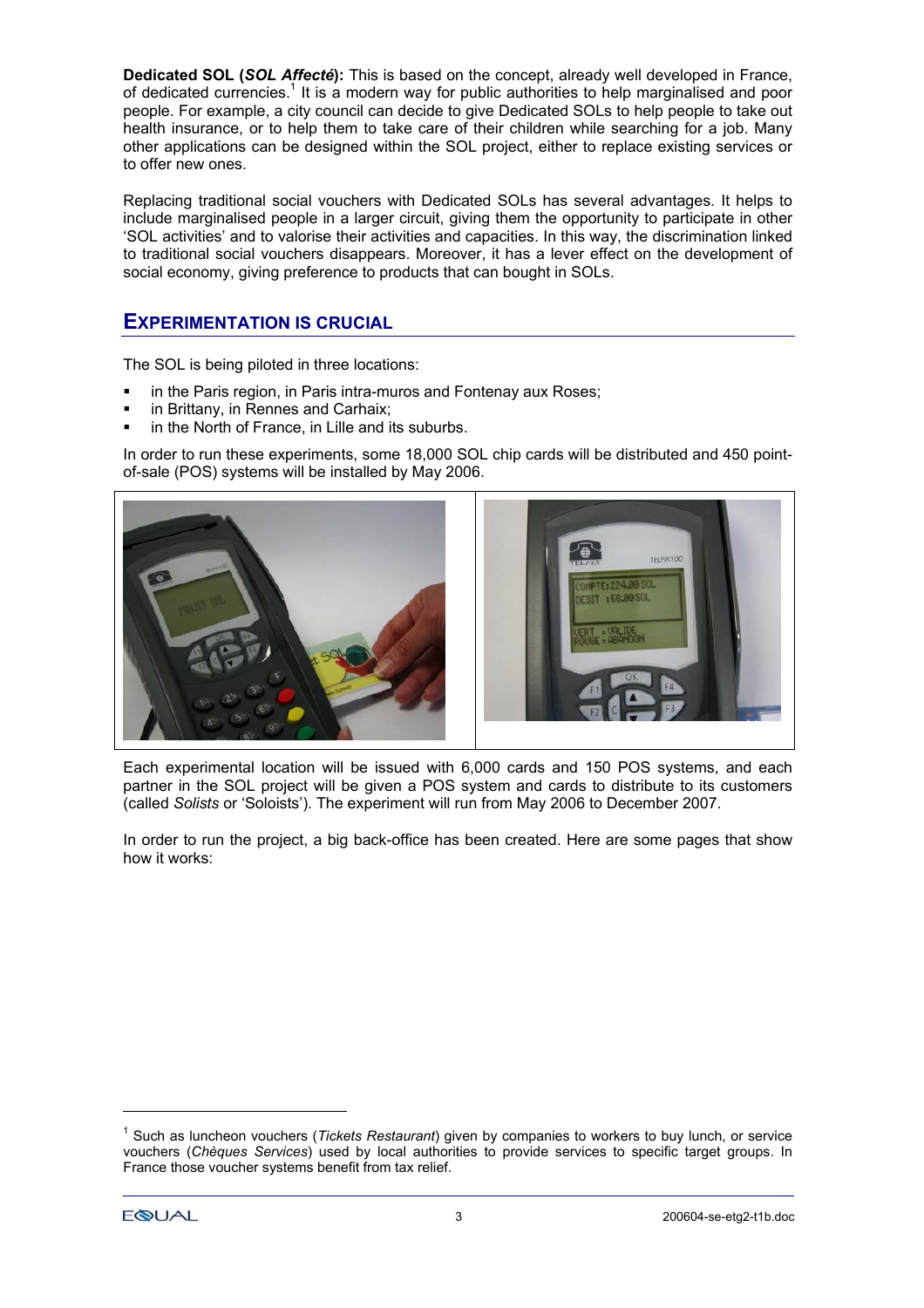**Dedicated SOL (***SOL Affecté***):** This is based on the concept, already well developed in France, of dedicated currencies.<sup>[1](#page-2-0)</sup> It is a modern way for public authorities to help marginalised and poor people. For example, a city council can decide to give Dedicated SOLs to help people to take out health insurance, or to help them to take care of their children while searching for a job. Many other applications can be designed within the SOL project, either to replace existing services or to offer new ones.

Replacing traditional social vouchers with Dedicated SOLs has several advantages. It helps to include marginalised people in a larger circuit, giving them the opportunity to participate in other 'SOL activities' and to valorise their activities and capacities. In this way, the discrimination linked to traditional social vouchers disappears. Moreover, it has a lever effect on the development of social economy, giving preference to products that can bought in SOLs.

### **EXPERIMENTATION IS CRUCIAL**

The SOL is being piloted in three locations:

- **in the Paris region, in Paris intra-muros and Fontenay aux Roses;**
- in Brittany, in Rennes and Carhaix;
- in the North of France, in Lille and its suburbs.

In order to run these experiments, some 18,000 SOL chip cards will be distributed and 450 pointof-sale (POS) systems will be installed by May 2006.



Each experimental location will be issued with 6,000 cards and 150 POS systems, and each partner in the SOL project will be given a POS system and cards to distribute to its customers (called *Solists* or 'Soloists'). The experiment will run from May 2006 to December 2007.

In order to run the project, a big back-office has been created. Here are some pages that show how it works:

l

<span id="page-2-0"></span><sup>&</sup>lt;sup>1</sup> Such as luncheon vouchers (*Tickets Restaurant*) given by companies to workers to buy lunch, or service vouchers (*Chèques Services*) used by local authorities to provide services to specific target groups. In France those voucher systems benefit from tax relief.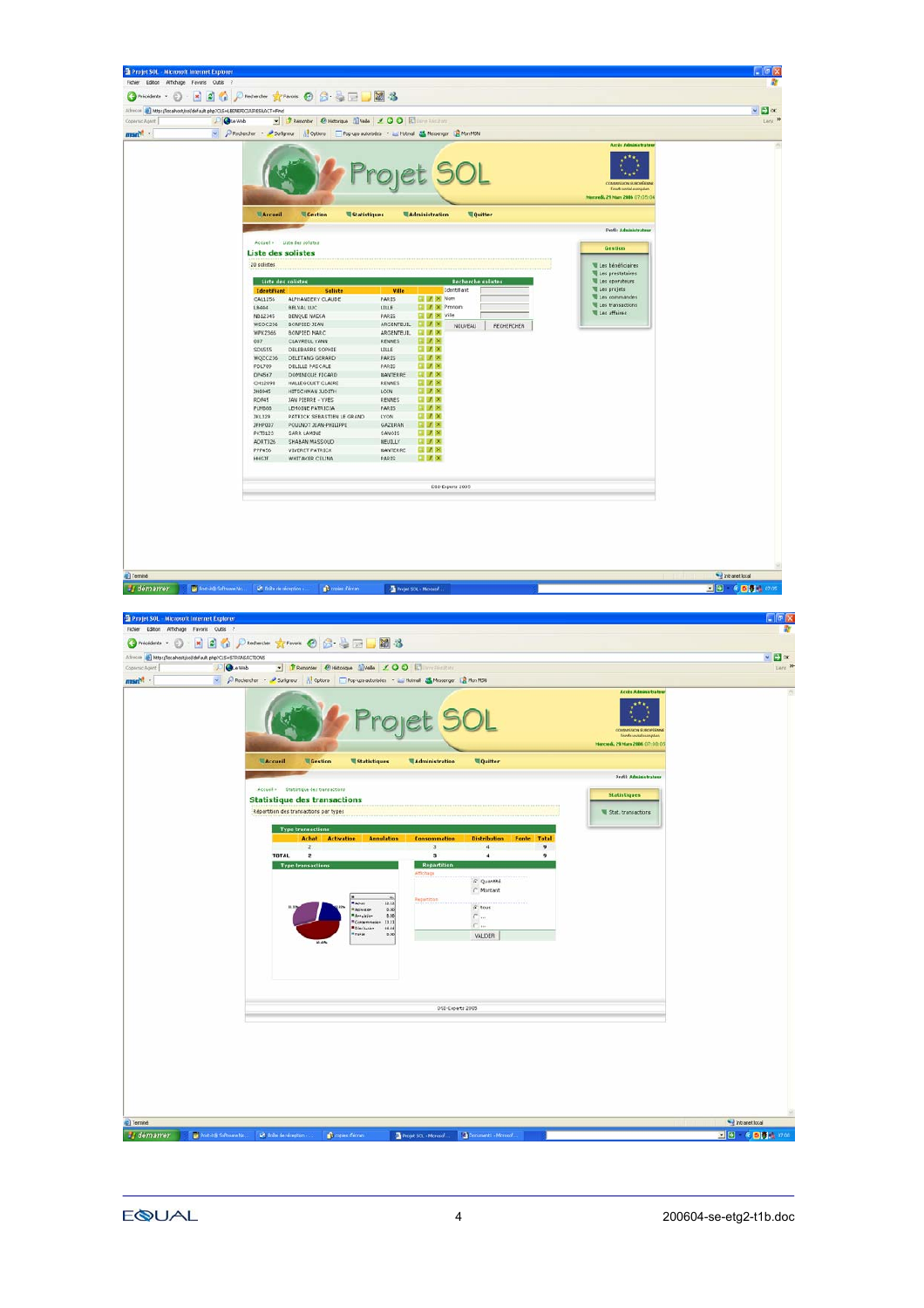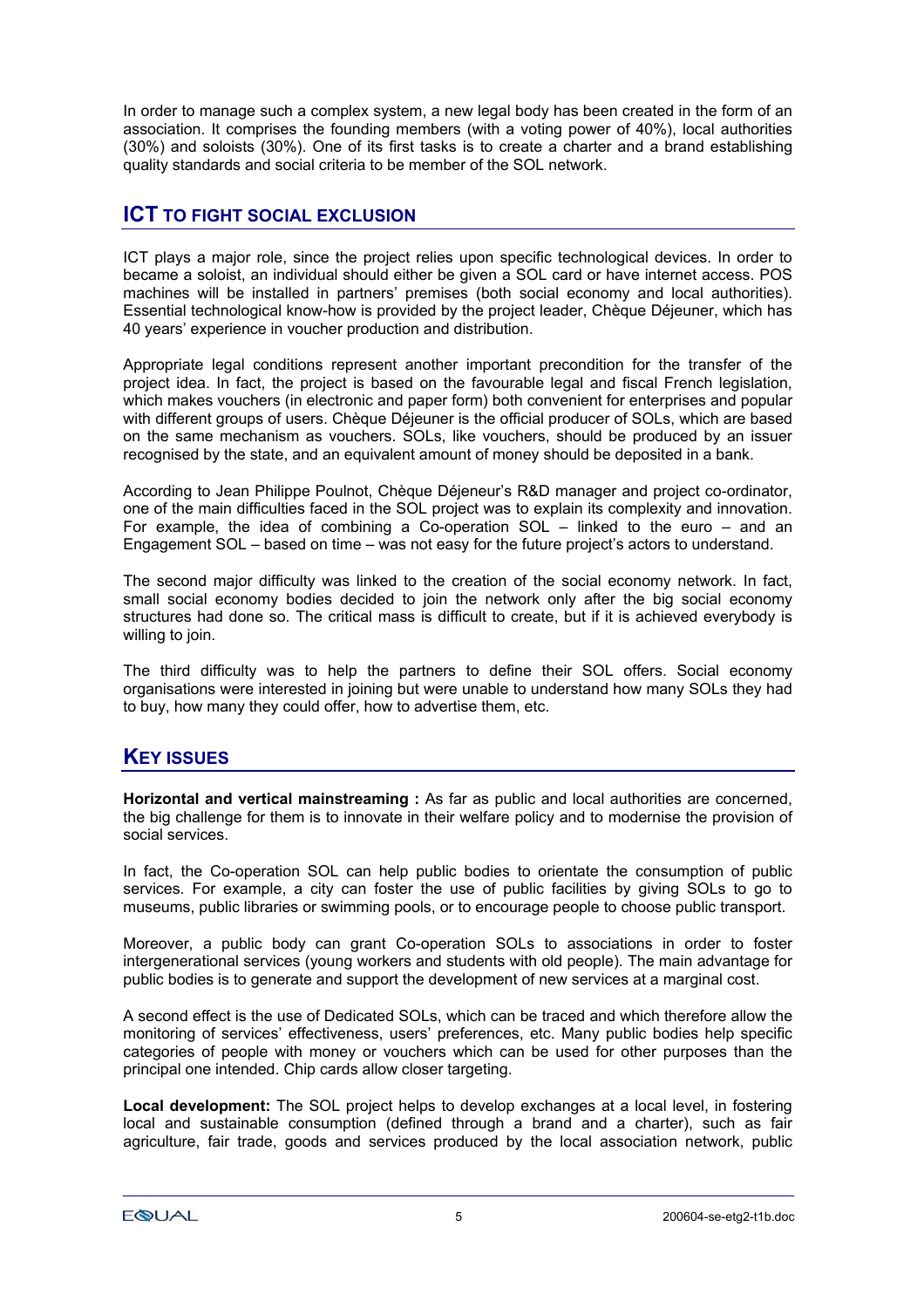In order to manage such a complex system, a new legal body has been created in the form of an association. It comprises the founding members (with a voting power of 40%), local authorities (30%) and soloists (30%). One of its first tasks is to create a charter and a brand establishing quality standards and social criteria to be member of the SOL network.

### **ICT TO FIGHT SOCIAL EXCLUSION**

ICT plays a major role, since the project relies upon specific technological devices. In order to became a soloist, an individual should either be given a SOL card or have internet access. POS machines will be installed in partners' premises (both social economy and local authorities). Essential technological know-how is provided by the project leader, Chèque Déjeuner, which has 40 years' experience in voucher production and distribution.

Appropriate legal conditions represent another important precondition for the transfer of the project idea. In fact, the project is based on the favourable legal and fiscal French legislation, which makes vouchers (in electronic and paper form) both convenient for enterprises and popular with different groups of users. Chèque Déjeuner is the official producer of SOLs, which are based on the same mechanism as vouchers. SOLs, like vouchers, should be produced by an issuer recognised by the state, and an equivalent amount of money should be deposited in a bank.

According to Jean Philippe Poulnot, Chèque Déjeneur's R&D manager and project co-ordinator, one of the main difficulties faced in the SOL project was to explain its complexity and innovation. For example, the idea of combining a Co-operation SOL – linked to the euro – and an Engagement SOL – based on time – was not easy for the future project's actors to understand.

The second major difficulty was linked to the creation of the social economy network. In fact, small social economy bodies decided to join the network only after the big social economy structures had done so. The critical mass is difficult to create, but if it is achieved everybody is willing to join.

The third difficulty was to help the partners to define their SOL offers. Social economy organisations were interested in joining but were unable to understand how many SOLs they had to buy, how many they could offer, how to advertise them, etc.

# **KEY ISSUES**

**Horizontal and vertical mainstreaming :** As far as public and local authorities are concerned, the big challenge for them is to innovate in their welfare policy and to modernise the provision of social services.

In fact, the Co-operation SOL can help public bodies to orientate the consumption of public services. For example, a city can foster the use of public facilities by giving SOLs to go to museums, public libraries or swimming pools, or to encourage people to choose public transport.

Moreover, a public body can grant Co-operation SOLs to associations in order to foster intergenerational services (young workers and students with old people). The main advantage for public bodies is to generate and support the development of new services at a marginal cost.

A second effect is the use of Dedicated SOLs, which can be traced and which therefore allow the monitoring of services' effectiveness, users' preferences, etc. Many public bodies help specific categories of people with money or vouchers which can be used for other purposes than the principal one intended. Chip cards allow closer targeting.

**Local development:** The SOL project helps to develop exchanges at a local level, in fostering local and sustainable consumption (defined through a brand and a charter), such as fair agriculture, fair trade, goods and services produced by the local association network, public